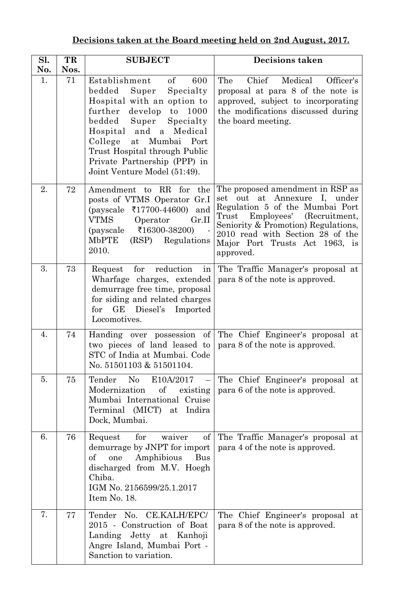| Decisions taken at the Board meeting held on 2nd August, 2017. |
|----------------------------------------------------------------|
|----------------------------------------------------------------|

| Sl. | TR   | <b>SUBJECT</b>                                                                                                                                                                                                                                                                                                    | <b>Decisions taken</b>                                                                                                                                                                                                                                                   |
|-----|------|-------------------------------------------------------------------------------------------------------------------------------------------------------------------------------------------------------------------------------------------------------------------------------------------------------------------|--------------------------------------------------------------------------------------------------------------------------------------------------------------------------------------------------------------------------------------------------------------------------|
| No. | Nos. |                                                                                                                                                                                                                                                                                                                   |                                                                                                                                                                                                                                                                          |
| 1.  | 71   | of<br>Establishment<br>600<br>bedded<br>Super<br>Specialty<br>Hospital with an option to<br>develop to 1000<br>further<br>bedded<br>Super<br>Specialty<br>Hospital and<br>a Medical<br>College<br>at Mumbai Port<br>Trust Hospital through Public<br>Private Partnership (PPP) in<br>Joint Venture Model (51:49). | Chief<br>The<br>Medical<br>Officer's<br>proposal at para 8 of the note is<br>approved, subject to incorporating<br>the modifications discussed during<br>the board meeting.                                                                                              |
| 2.  | 72   | Amendment to RR for<br>the<br>posts of VTMS Operator Gr.I<br>$(payscale \t{71700-44600})$<br>and<br>VTMS<br>Operator<br>Gr.II<br>₹16300-38200)<br>(payscale<br><b>MbPTE</b><br>Regulations<br>(RSP)<br>2010.                                                                                                      | The proposed amendment in RSP as<br>set out at<br>Annexure<br>Ι,<br>under<br>Regulation 5 of the Mumbai Port<br>Trust Employees' (Recruitment,<br>Seniority & Promotion) Regulations,<br>2010 read with Section 28 of the<br>Major Port Trusts Act 1963, is<br>approved. |
| 3.  | 73   | reduction<br>for<br>Request<br>in<br>Wharfage charges, extended<br>demurrage free time, proposal<br>for siding and related charges<br>for GE Diesel's Imported<br>Locomotives.                                                                                                                                    | The Traffic Manager's proposal at<br>para 8 of the note is approved.                                                                                                                                                                                                     |
| 4.  | 74   | of<br>Handing over possession<br>two pieces of land leased to<br>STC of India at Mumbai. Code<br>No. 51501103 & 51501104.                                                                                                                                                                                         | The Chief Engineer's proposal at<br>para 8 of the note is approved.                                                                                                                                                                                                      |
| 5.  | 75   | No E10A/2017<br>Tender<br>Modernization<br>of existing<br>Mumbai International Cruise<br>Terminal (MICT) at<br>Indira<br>Dock, Mumbai.                                                                                                                                                                            | The Chief Engineer's proposal at<br>para 6 of the note is approved.                                                                                                                                                                                                      |
| 6.  | 76   | for<br>Request<br>οf<br>waiver<br>demurrage by JNPT for import<br>one<br>Amphibious<br>Bus<br>οf<br>discharged from M.V. Hoegh<br>Chiba.<br>IGM No. 2156599/25.1.2017<br>Item No. 18.                                                                                                                             | The Traffic Manager's proposal at<br>para 4 of the note is approved.                                                                                                                                                                                                     |
| 7.  | 77   | Tender No. CE.KALH/EPC/<br>2015 - Construction of Boat<br>Landing Jetty at Kanhoji<br>Angre Island, Mumbai Port -<br>Sanction to variation.                                                                                                                                                                       | The Chief Engineer's proposal at<br>para 8 of the note is approved.                                                                                                                                                                                                      |